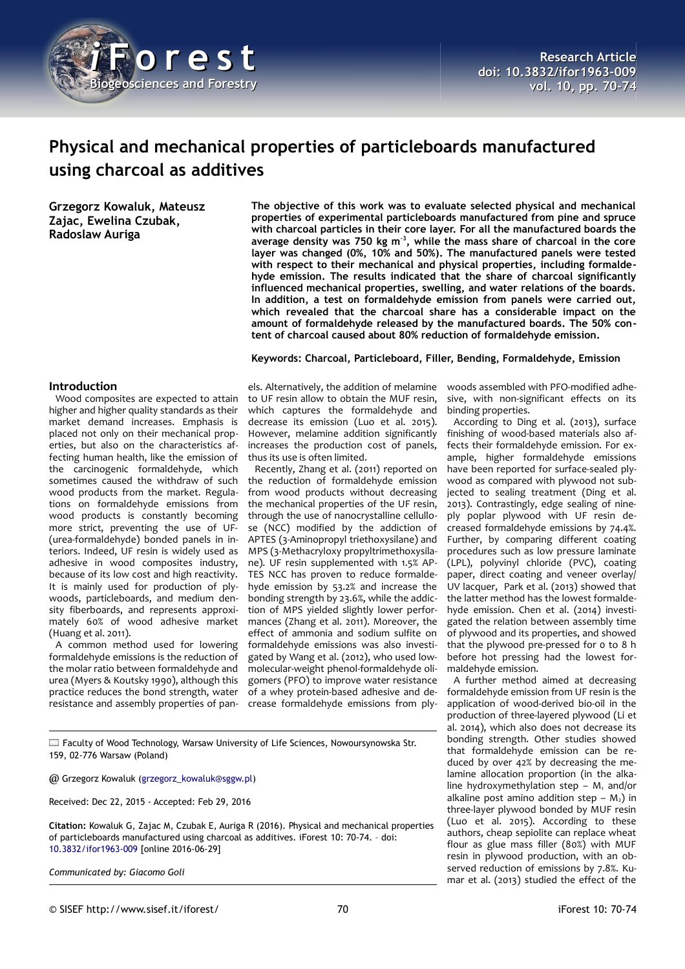

# **Physical and mechanical properties of particleboards manufactured using charcoal as additives**

**Grzegorz Kowaluk, Mateusz Zajac, Ewelina Czubak, Radoslaw Auriga**

# **Introduction**

Wood composites are expected to attain higher and higher quality standards as their market demand increases. Emphasis is placed not only on their mechanical properties, but also on the characteristics affecting human health, like the emission of the carcinogenic formaldehyde, which sometimes caused the withdraw of such wood products from the market. Regulations on formaldehyde emissions from wood products is constantly becoming more strict, preventing the use of UF- (urea-formaldehyde) bonded panels in interiors. Indeed, UF resin is widely used as adhesive in wood composites industry, because of its low cost and high reactivity. It is mainly used for production of plywoods, particleboards, and medium density fiberboards, and represents approximately 60% of wood adhesive market (Huang et al. 2011).

A common method used for lowering formaldehyde emissions is the reduction of the molar ratio between formaldehyde and urea (Myers & Koutsky 1990), although this practice reduces the bond strength, water resistance and assembly properties of pan-

**The objective of this work was to evaluate selected physical and mechanical properties of experimental particleboards manufactured from pine and spruce with charcoal particles in their core layer. For all the manufactured boards the average density was 750 kg m-3, while the mass share of charcoal in the core layer was changed (0%, 10% and 50%). The manufactured panels were tested with respect to their mechanical and physical properties, including formaldehyde emission. The results indicated that the share of charcoal significantly influenced mechanical properties, swelling, and water relations of the boards. In addition, a test on formaldehyde emission from panels were carried out, which revealed that the charcoal share has a considerable impact on the amount of formaldehyde released by the manufactured boards. The 50% content of charcoal caused about 80% reduction of formaldehyde emission.**

## **Keywords: Charcoal, Particleboard, Filler, Bending, Formaldehyde, Emission**

els. Alternatively, the addition of melamine to UF resin allow to obtain the MUF resin, which captures the formaldehyde and decrease its emission (Luo et al. 2015). However, melamine addition significantly increases the production cost of panels, thus its use is often limited.

Recently, Zhang et al. (2011) reported on the reduction of formaldehyde emission from wood products without decreasing the mechanical properties of the UF resin, through the use of nanocrystalline cellullose (NCC) modified by the addiction of APTES (3-Aminopropyl triethoxysilane) and MPS (3-Methacryloxy propyltrimethoxysilane). UF resin supplemented with 1.5% AP-TES NCC has proven to reduce formaldehyde emission by 53.2% and increase the bonding strength by 23.6%, while the addiction of MPS yielded slightly lower performances (Zhang et al. 2011). Moreover, the effect of ammonia and sodium sulfite on formaldehyde emissions was also investigated by Wang et al. (2012), who used lowmolecular-weight phenol-formaldehyde oligomers (PFO) to improve water resistance of a whey protein-based adhesive and decrease formaldehyde emissions from ply-

woods assembled with PFO-modified adhesive, with non-significant effects on its binding properties.

According to Ding et al. (2013), surface finishing of wood-based materials also affects their formaldehyde emission. For example, higher formaldehyde emissions have been reported for surface-sealed plywood as compared with plywood not subjected to sealing treatment (Ding et al. 2013). Contrastingly, edge sealing of nineply poplar plywood with UF resin decreased formaldehyde emissions by 74.4%. Further, by comparing different coating procedures such as low pressure laminate (LPL), polyvinyl chloride (PVC), coating paper, direct coating and veneer overlay/ UV lacquer, Park et al. (2013) showed that the latter method has the lowest formaldehyde emission. Chen et al. (2014) investigated the relation between assembly time of plywood and its properties, and showed that the plywood pre-pressed for 0 to 8 h before hot pressing had the lowest formaldehyde emission.

A further method aimed at decreasing formaldehyde emission from UF resin is the application of wood-derived bio-oil in the production of three-layered plywood (Li et al. 2014), which also does not decrease its bonding strength. Other studies showed that formaldehyde emission can be reduced by over 42% by decreasing the melamine allocation proportion (in the alkaline hydroxymethylation step  $- M_1$  and/or alkaline post amino addition step –  $M_2$ ) in three-layer plywood bonded by MUF resin (Luo et al. 2015). According to these authors, cheap sepiolite can replace wheat flour as glue mass filler (80%) with MUF resin in plywood production, with an observed reduction of emissions by 7.8%. Kumar et al. (2013) studied the effect of the

 $\Box$  Faculty of Wood Technology, Warsaw University of Life Sciences, Nowoursynowska Str. 159, 02-776 Warsaw (Poland)

@ Grzegorz Kowaluk [\(grzegorz\\_kowaluk@sggw.pl\)](mailto:grzegorz_kowaluk@sggw.pl)

Received: Dec 22, 2015 - Accepted: Feb 29, 2016

**Citation:** Kowaluk G, Zajac M, Czubak E, Auriga R (2016). Physical and mechanical properties of particleboards manufactured using charcoal as additives. iForest 10: 70-74. – doi[:](http://www.sisef.it/iforest/contents/?id=ifor1963-009) [10.3832/ifor1963-009](http://www.sisef.it/iforest/contents/?id=ifor1963-009) [online 2016-06-29]

*Communicated by: Giacomo Goli*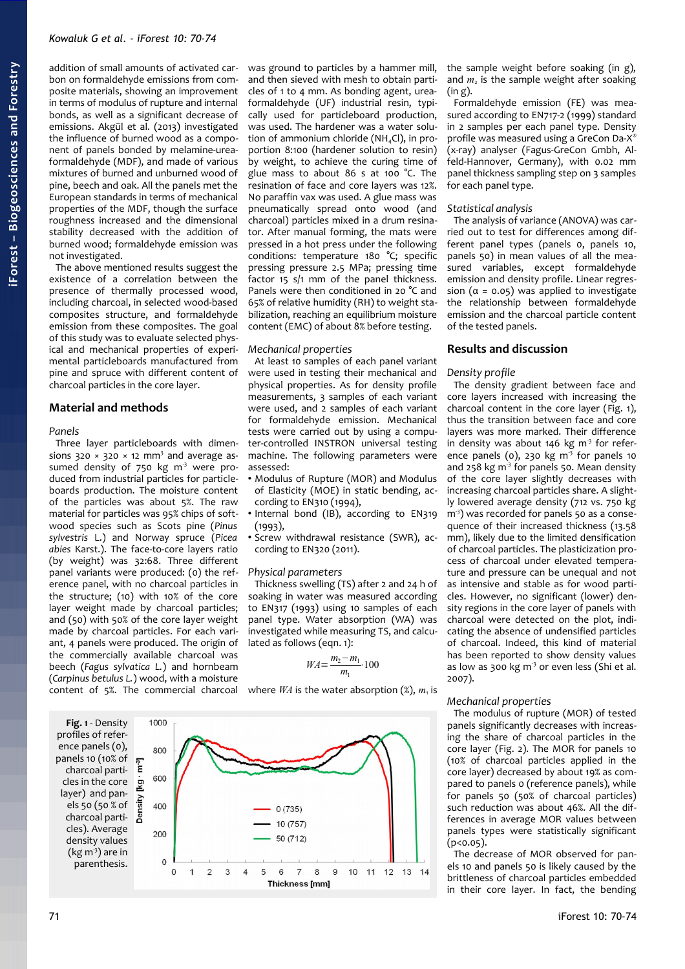addition of small amounts of activated carbon on formaldehyde emissions from composite materials, showing an improvement in terms of modulus of rupture and internal bonds, as well as a significant decrease of emissions. Akgül et al. (2013) investigated the influence of burned wood as a component of panels bonded by melamine-ureaformaldehyde (MDF), and made of various mixtures of burned and unburned wood of pine, beech and oak. All the panels met the European standards in terms of mechanical properties of the MDF, though the surface roughness increased and the dimensional stability decreased with the addition of burned wood; formaldehyde emission was not investigated.

The above mentioned results suggest the existence of a correlation between the presence of thermally processed wood, including charcoal, in selected wood-based composites structure, and formaldehyde emission from these composites. The goal of this study was to evaluate selected physical and mechanical properties of experimental particleboards manufactured from pine and spruce with different content of charcoal particles in the core layer.

# **Material and methods**

#### *Panels*

Three layer particleboards with dimensions  $320 \times 320 \times 12$  mm<sup>3</sup> and average assumed density of 750 kg  $m<sup>3</sup>$  were produced from industrial particles for particleboards production. The moisture content of the particles was about 5%. The raw material for particles was 95% chips of softwood species such as Scots pine (*Pinus sylvestris* L.) and Norway spruce (*Picea abies* Karst.). The face-to-core layers ratio (by weight) was 32:68. Three different panel variants were produced: (0) the reference panel, with no charcoal particles in the structure; (10) with 10% of the core layer weight made by charcoal particles; and (50) with 50% of the core layer weight made by charcoal particles. For each variant, 4 panels were produced. The origin of the commercially available charcoal was beech (*Fagus sylvatica L.*) and hornbeam (*Carpinus betulus L.*) wood, with a moisture content of 5%. The commercial charcoal where  $WA$  is the water absorption  $(\%)$ ,  $m<sub>1</sub>$  is

was ground to particles by a hammer mill, and then sieved with mesh to obtain particles of 1 to 4 mm. As bonding agent, ureaformaldehyde (UF) industrial resin, typically used for particleboard production, was used. The hardener was a water solution of ammonium chloride (NH<sub>4</sub>Cl), in proportion 8:100 (hardener solution to resin) by weight, to achieve the curing time of glue mass to about 86 s at 100 °C. The resination of face and core layers was 12%. No paraffin vax was used. A glue mass was pneumatically spread onto wood (and charcoal) particles mixed in a drum resinator. After manual forming, the mats were pressed in a hot press under the following conditions: temperature 180 °C; specific pressing pressure 2.5 MPa; pressing time factor 15 s/1 mm of the panel thickness. Panels were then conditioned in 20 °C and 65% of relative humidity (RH) to weight stabilization, reaching an equilibrium moisture content (EMC) of about 8% before testing.

## *Mechanical properties*

At least 10 samples of each panel variant were used in testing their mechanical and physical properties. As for density profile measurements, 3 samples of each variant were used, and 2 samples of each variant for formaldehyde emission. Mechanical tests were carried out by using a computer-controlled INSTRON universal testing machine. The following parameters were assessed:

- Modulus of Rupture (MOR) and Modulus of Elasticity (MOE) in static bending, according to EN310 (1994),
- Internal bond (IB), according to EN319 (1993),
- Screw withdrawal resistance (SWR), according to EN320 (2011).

#### *Physical parameters*

Thickness swelling (TS) after 2 and 24 h of soaking in water was measured according to EN317 (1993) using 10 samples of each panel type. Water absorption (WA) was investigated while measuring TS, and calculated as follows (eqn. 1):

$$
WA = \frac{m_2 - m_1}{m_1} \cdot 100
$$

<span id="page-1-0"></span>

the sample weight before soaking (in g), and  $m<sub>2</sub>$  is the sample weight after soaking (in g).

Formaldehyde emission (FE) was measured according to EN717-2 (1999) standard in 2 samples per each panel type. Density profile was measured using a GreCon Da-X® (x-ray) analyser (Fagus-GreCon Gmbh, Alfeld-Hannover, Germany), with 0.02 mm panel thickness sampling step on 3 samples for each panel type.

## *Statistical analysis*

The analysis of variance (ANOVA) was carried out to test for differences among different panel types (panels 0, panels 10, panels 50) in mean values of all the measured variables, except formaldehyde emission and density profile. Linear regression ( $\alpha$  = 0.05) was applied to investigate the relationship between formaldehyde emission and the charcoal particle content of the tested panels.

# **Results and discussion**

#### *Density profile*

The density gradient between face and core layers increased with increasing the charcoal content in the core layer [\(Fig. 1\)](#page-1-0), thus the transition between face and core layers was more marked. Their difference in density was about 146 kg  $m<sup>3</sup>$  for reference panels (0), 230 kg  $m<sup>3</sup>$  for panels 10 and 258 kg  $m<sup>3</sup>$  for panels 50. Mean density of the core layer slightly decreases with increasing charcoal particles share. A slightly lowered average density (712 vs. 750 kg m<sup>3</sup>) was recorded for panels 50 as a consequence of their increased thickness (13.58 mm), likely due to the limited densification of charcoal particles. The plasticization process of charcoal under elevated temperature and pressure can be unequal and not as intensive and stable as for wood particles. However, no significant (lower) density regions in the core layer of panels with charcoal were detected on the plot, indicating the absence of undensified particles of charcoal. Indeed, this kind of material has been reported to show density values as low as 300 kg  $m<sup>3</sup>$  or even less (Shi et al. 2007).

## *Mechanical properties*

The modulus of rupture (MOR) of tested panels significantly decreases with increasing the share of charcoal particles in the core layer [\(Fig. 2\)](#page-2-0). The MOR for panels 10 (10% of charcoal particles applied in the core layer) decreased by about 19% as compared to panels 0 (reference panels), while for panels 50 (50% of charcoal particles) such reduction was about 46%. All the differences in average MOR values between panels types were statistically significant (p<0.05).

The decrease of MOR observed for panels 10 and panels 50 is likely caused by the brittleness of charcoal particles embedded in their core layer. In fact, the bending

# 71 iForest 10: 70-74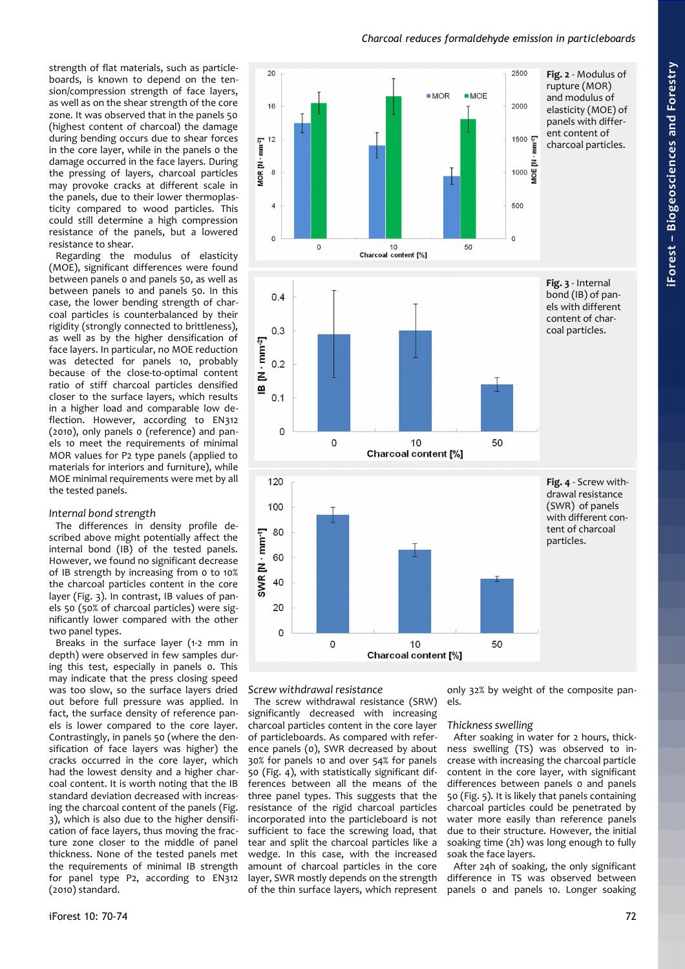strength of flat materials, such as particleboards, is known to depend on the tension/compression strength of face layers, as well as on the shear strength of the core zone. It was observed that in the panels 50 (highest content of charcoal) the damage during bending occurs due to shear forces in the core layer, while in the panels 0 the damage occurred in the face layers. During the pressing of layers, charcoal particles may provoke cracks at different scale in the panels, due to their lower thermoplasticity compared to wood particles. This could still determine a high compression resistance of the panels, but a lowered resistance to shear.

Regarding the modulus of elasticity (MOE), significant differences were found between panels 0 and panels 50, as well as between panels 10 and panels 50. In this case, the lower bending strength of charcoal particles is counterbalanced by their rigidity (strongly connected to brittleness), as well as by the higher densification of face layers. In particular, no MOE reduction was detected for panels 10, probably because of the close-to-optimal content ratio of stiff charcoal particles densified closer to the surface layers, which results in a higher load and comparable low deflection. However, according to EN312 (2010), only panels 0 (reference) and panels 10 meet the requirements of minimal MOR values for P2 type panels (applied to materials for interiors and furniture), while MOE minimal requirements were met by all the tested panels.

## *Internal bond strength*

The differences in density profile described above might potentially affect the internal bond (IB) of the tested panels. However, we found no significant decrease of IB strength by increasing from 0 to 10% the charcoal particles content in the core layer [\(Fig. 3\)](#page-2-2). In contrast, IB values of panels 50 (50% of charcoal particles) were significantly lower compared with the other two panel types.

Breaks in the surface layer (1-2 mm in depth) were observed in few samples during this test, especially in panels 0. This may indicate that the press closing speed was too slow, so the surface layers dried out before full pressure was applied. In fact, the surface density of reference panels is lower compared to the core layer. Contrastingly, in panels 50 (where the densification of face layers was higher) the cracks occurred in the core layer, which had the lowest density and a higher charcoal content. It is worth noting that the IB standard deviation decreased with increasing the charcoal content of the panels [\(Fig.](#page-2-2) [3\)](#page-2-2), which is also due to the higher densification of face layers, thus moving the fracture zone closer to the middle of panel thickness. None of the tested panels met the requirements of minimal IB strength for panel type P2, according to EN312 (2010) standard.

<span id="page-2-2"></span><span id="page-2-0"></span>

*Screw withdrawal resistance*

The screw withdrawal resistance (SRW) significantly decreased with increasing charcoal particles content in the core layer of particleboards. As compared with reference panels (0), SWR decreased by about 30% for panels 10 and over 54% for panels 50 [\(Fig. 4\)](#page-2-1), with statistically significant differences between all the means of the three panel types. This suggests that the resistance of the rigid charcoal particles incorporated into the particleboard is not sufficient to face the screwing load, that tear and split the charcoal particles like a wedge. In this case, with the increased amount of charcoal particles in the core layer, SWR mostly depends on the strength of the thin surface layers, which represent

<span id="page-2-1"></span>only 32% by weight of the composite panels.

#### *Thickness swelling*

After soaking in water for 2 hours, thickness swelling (TS) was observed to increase with increasing the charcoal particle content in the core layer, with significant differences between panels 0 and panels 50 [\(Fig. 5\)](#page-3-0). It is likely that panels containing charcoal particles could be penetrated by water more easily than reference panels due to their structure. However, the initial soaking time (2h) was long enough to fully soak the face layers.

After 24h of soaking, the only significant difference in TS was observed between panels 0 and panels 10. Longer soaking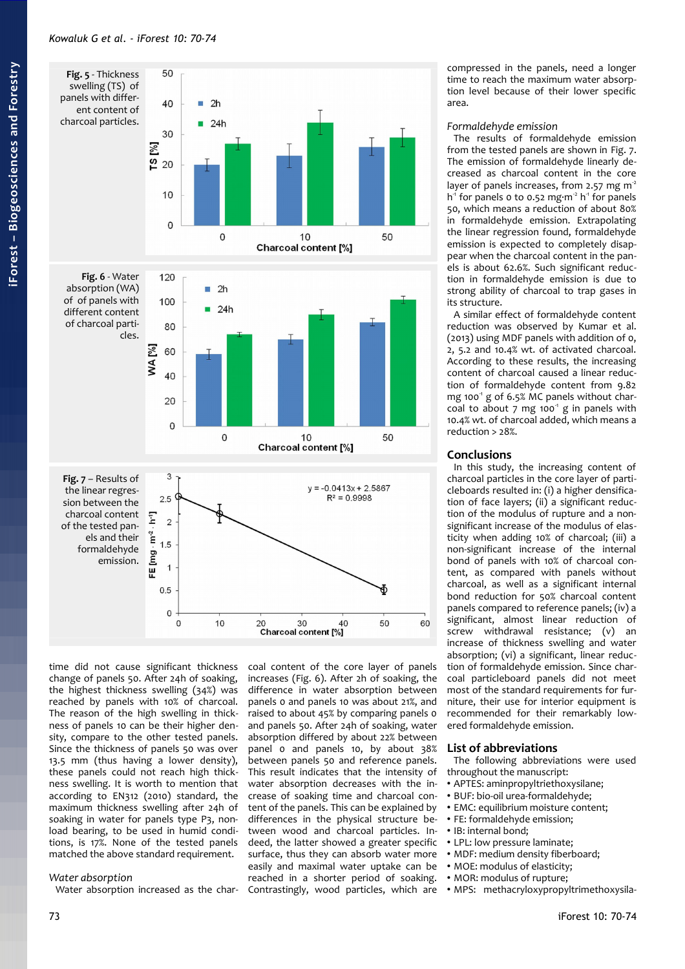<span id="page-3-2"></span><span id="page-3-0"></span>

<span id="page-3-1"></span>time did not cause significant thickness change of panels 50. After 24h of soaking, the highest thickness swelling (34%) was reached by panels with 10% of charcoal. The reason of the high swelling in thickness of panels 10 can be their higher density, compare to the other tested panels. Since the thickness of panels 50 was over 13.5 mm (thus having a lower density), these panels could not reach high thickness swelling. It is worth to mention that according to EN312 (2010) standard, the maximum thickness swelling after 24h of soaking in water for panels type P3, nonload bearing, to be used in humid conditions, is 17%. None of the tested panels matched the above standard requirement.

## *Water absorption*

Water absorption increased as the char-

coal content of the core layer of panels increases [\(Fig. 6\)](#page-3-2). After 2h of soaking, the difference in water absorption between panels 0 and panels 10 was about 21%, and raised to about 45% by comparing panels 0 and panels 50. After 24h of soaking, water absorption differed by about 22% between panel 0 and panels 10, by about 38% between panels 50 and reference panels. This result indicates that the intensity of water absorption decreases with the increase of soaking time and charcoal content of the panels. This can be explained by differences in the physical structure between wood and charcoal particles. Indeed, the latter showed a greater specific surface, thus they can absorb water more easily and maximal water uptake can be reached in a shorter period of soaking. Contrastingly, wood particles, which are • MPS: methacryloxypropyltrimethoxysila-

compressed in the panels, need a longer time to reach the maximum water absorption level because of their lower specific area.

#### *Formaldehyde emission*

The results of formaldehyde emission from the tested panels are shown in [Fig. 7.](#page-3-1) The emission of formaldehyde linearly decreased as charcoal content in the core layer of panels increases, from 2.57 mg  $m<sup>2</sup>$  $h<sup>1</sup>$  for panels o to 0.52 mg $\cdot$ m<sup>2</sup> h<sup>-1</sup> for panels 50, which means a reduction of about 80% in formaldehyde emission. Extrapolating the linear regression found, formaldehyde emission is expected to completely disappear when the charcoal content in the panels is about 62.6%. Such significant reduction in formaldehyde emission is due to strong ability of charcoal to trap gases in its structure.

A similar effect of formaldehyde content reduction was observed by Kumar et al. (2013) using MDF panels with addition of 0, 2, 5.2 and 10.4% wt. of activated charcoal. According to these results, the increasing content of charcoal caused a linear reduction of formaldehyde content from 9.82 mg 100 $^1$  g of 6.5% MC panels without charcoal to about  $7 \text{ mg}$  100 $^{\circ}$  g in panels with 10.4% wt. of charcoal added, which means a reduction > 28%.

#### **Conclusions**

In this study, the increasing content of charcoal particles in the core layer of particleboards resulted in: (i) a higher densification of face layers; (ii) a significant reduction of the modulus of rupture and a nonsignificant increase of the modulus of elasticity when adding 10% of charcoal; (iii) a non-significant increase of the internal bond of panels with 10% of charcoal content, as compared with panels without charcoal, as well as a significant internal bond reduction for 50% charcoal content panels compared to reference panels; (iv) a significant, almost linear reduction of screw withdrawal resistance; (v) an increase of thickness swelling and water absorption; (vi) a significant, linear reduction of formaldehyde emission. Since charcoal particleboard panels did not meet most of the standard requirements for furniture, their use for interior equipment is recommended for their remarkably lowered formaldehyde emission.

#### **List of abbreviations**

The following abbreviations were used throughout the manuscript:

- APTES: aminpropyltriethoxysilane;
- BUF: bio-oil urea-formaldehyde;
- EMC: equilibrium moisture content;
- FE: formaldehyde emission;
- IB: internal bond;
- LPL: low pressure laminate;
- MDF: medium density fiberboard;
- MOE: modulus of elasticity;
- MOR: modulus of rupture;
-